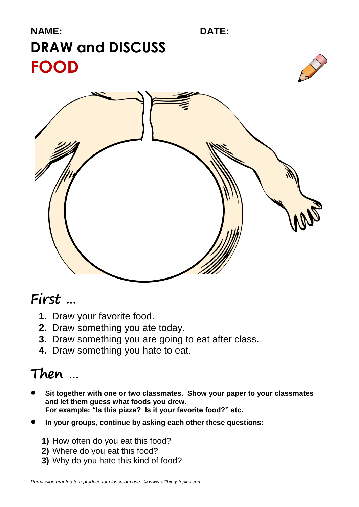

## **First …**

- **1.** Draw your favorite food.
- **2.** Draw something you ate today.
- **3.** Draw something you are going to eat after class.
- **4.** Draw something you hate to eat.

## **Then …**

- **Sit together with one or two classmates. Show your paper to your classmates and let them guess what foods you drew. For example: "Is this pizza? Is it your favorite food?" etc.**
- **In your groups, continue by asking each other these questions:**
	- **1)** How often do you eat this food?
	- **2)** Where do you eat this food?
	- **3)** Why do you hate this kind of food?